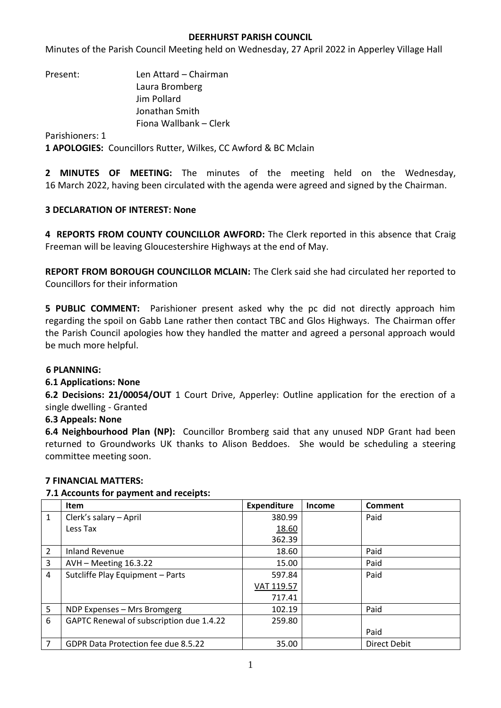### **DEERHURST PARISH COUNCIL**

Minutes of the Parish Council Meeting held on Wednesday, 27 April 2022 in Apperley Village Hall

Present: Len Attard – Chairman Laura Bromberg Jim Pollard Jonathan Smith Fiona Wallbank – Clerk

Parishioners: 1

**1 APOLOGIES:** Councillors Rutter, Wilkes, CC Awford & BC Mclain

**2 MINUTES OF MEETING:** The minutes of the meeting held on the Wednesday, 16 March 2022, having been circulated with the agenda were agreed and signed by the Chairman.

## **3 DECLARATION OF INTEREST: None**

**4 REPORTS FROM COUNTY COUNCILLOR AWFORD:** The Clerk reported in this absence that Craig Freeman will be leaving Gloucestershire Highways at the end of May.

**REPORT FROM BOROUGH COUNCILLOR MCLAIN:** The Clerk said she had circulated her reported to Councillors for their information

**5 PUBLIC COMMENT:** Parishioner present asked why the pc did not directly approach him regarding the spoil on Gabb Lane rather then contact TBC and Glos Highways. The Chairman offer the Parish Council apologies how they handled the matter and agreed a personal approach would be much more helpful.

### **6 PLANNING:**

### **6.1 Applications: None**

**6.2 Decisions: 21/00054/OUT** 1 Court Drive, Apperley: Outline application for the erection of a single dwelling - Granted

### **6.3 Appeals: None**

**6.4 Neighbourhood Plan (NP):** Councillor Bromberg said that any unused NDP Grant had been returned to Groundworks UK thanks to Alison Beddoes. She would be scheduling a steering committee meeting soon.

### **7 FINANCIAL MATTERS:**

### **7.1 Accounts for payment and receipts:**

|                | Item                                     | <b>Expenditure</b> | <b>Income</b> | Comment             |
|----------------|------------------------------------------|--------------------|---------------|---------------------|
| $\mathbf{1}$   | Clerk's salary - April                   | 380.99             |               | Paid                |
|                | Less Tax                                 | 18.60              |               |                     |
|                |                                          | 362.39             |               |                     |
| $\overline{2}$ | <b>Inland Revenue</b>                    | 18.60              |               | Paid                |
| 3              | AVH - Meeting 16.3.22                    | 15.00              |               | Paid                |
| 4              | Sutcliffe Play Equipment - Parts         | 597.84             |               | Paid                |
|                |                                          | VAT 119.57         |               |                     |
|                |                                          | 717.41             |               |                     |
| 5              | NDP Expenses - Mrs Bromgerg              | 102.19             |               | Paid                |
| 6              | GAPTC Renewal of subscription due 1.4.22 | 259.80             |               |                     |
|                |                                          |                    |               | Paid                |
| 7              | GDPR Data Protection fee due 8.5.22      | 35.00              |               | <b>Direct Debit</b> |